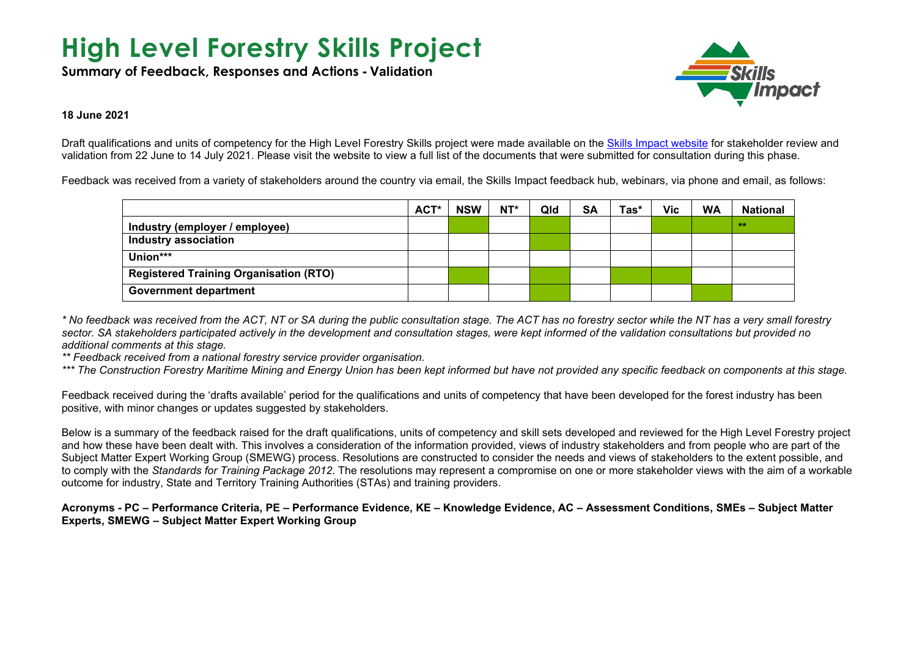# **High Level Forestry Skills Project**

**Summary of Feedback, Responses and Actions - Validation**



#### **18 June 2021**

Draft qualifications and units of competency for the High Level Forestry Skills project were made available on the [Skills Impact website](https://www.skillsimpact.com.au/forest-management-and-harvesting/training-package-projects/high-level-forestry-skills-project/) for stakeholder review and validation from 22 June to 14 July 2021. Please visit the website to view a full list of the documents that were submitted for consultation during this phase.

Feedback was received from a variety of stakeholders around the country via email, the Skills Impact feedback hub, webinars, via phone and email, as follows:

|                                               | ACT* | <b>NSW</b> | NT* | Qld | SA | Tas* | <b>Vic</b> | <b>WA</b> | <b>National</b> |
|-----------------------------------------------|------|------------|-----|-----|----|------|------------|-----------|-----------------|
| Industry (employer / employee)                |      |            |     |     |    |      |            |           | <b>Sele</b>     |
| Industry association                          |      |            |     |     |    |      |            |           |                 |
| Union***                                      |      |            |     |     |    |      |            |           |                 |
| <b>Registered Training Organisation (RTO)</b> |      |            |     |     |    |      |            |           |                 |
| Government department                         |      |            |     |     |    |      |            |           |                 |

*\* No feedback was received from the ACT, NT or SA during the public consultation stage. The ACT has no forestry sector while the NT has a very small forestry sector. SA stakeholders participated actively in the development and consultation stages, were kept informed of the validation consultations but provided no additional comments at this stage.*

*\*\* Feedback received from a national forestry service provider organisation.*

*\*\*\* The Construction Forestry Maritime Mining and Energy Union has been kept informed but have not provided any specific feedback on components at this stage.*

Feedback received during the 'drafts available' period for the qualifications and units of competency that have been developed for the forest industry has been positive, with minor changes or updates suggested by stakeholders.

Below is a summary of the feedback raised for the draft qualifications, units of competency and skill sets developed and reviewed for the High Level Forestry project and how these have been dealt with. This involves a consideration of the information provided, views of industry stakeholders and from people who are part of the Subject Matter Expert Working Group (SMEWG) process. Resolutions are constructed to consider the needs and views of stakeholders to the extent possible, and to comply with the *Standards for Training Package 2012*. The resolutions may represent a compromise on one or more stakeholder views with the aim of a workable outcome for industry, State and Territory Training Authorities (STAs) and training providers.

**Acronyms - PC – Performance Criteria, PE – Performance Evidence, KE – Knowledge Evidence, AC – Assessment Conditions, SMEs – Subject Matter Experts, SMEWG – Subject Matter Expert Working Group**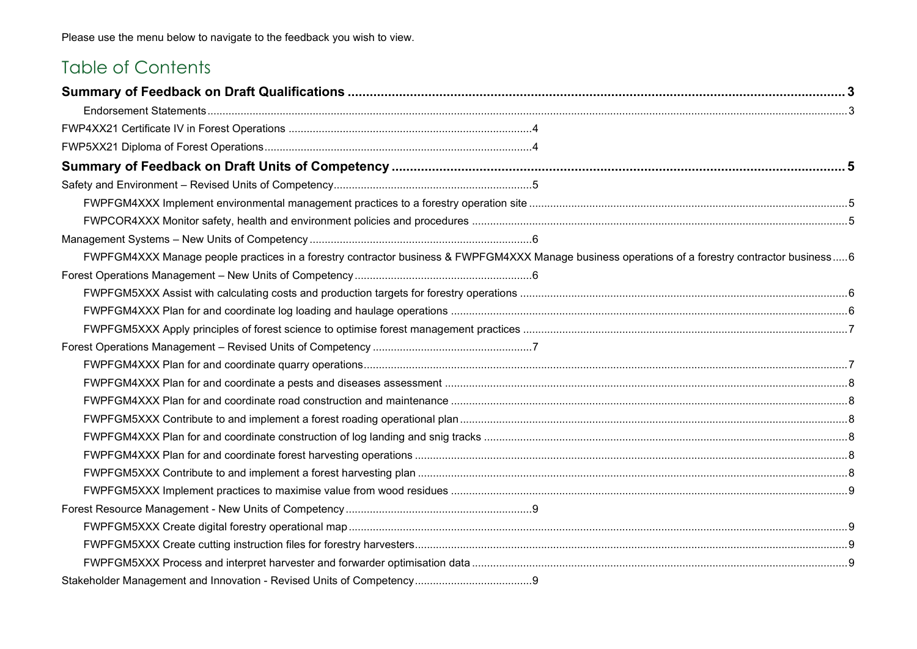Please use the menu below to navigate to the feedback you wish to view.

### Table of Contents

| FWPFGM4XXX Manage people practices in a forestry contractor business & FWPFGM4XXX Manage business operations of a forestry contractor business 6 |  |
|--------------------------------------------------------------------------------------------------------------------------------------------------|--|
|                                                                                                                                                  |  |
|                                                                                                                                                  |  |
|                                                                                                                                                  |  |
|                                                                                                                                                  |  |
|                                                                                                                                                  |  |
|                                                                                                                                                  |  |
|                                                                                                                                                  |  |
|                                                                                                                                                  |  |
|                                                                                                                                                  |  |
|                                                                                                                                                  |  |
|                                                                                                                                                  |  |
|                                                                                                                                                  |  |
|                                                                                                                                                  |  |
|                                                                                                                                                  |  |
|                                                                                                                                                  |  |
|                                                                                                                                                  |  |
|                                                                                                                                                  |  |
|                                                                                                                                                  |  |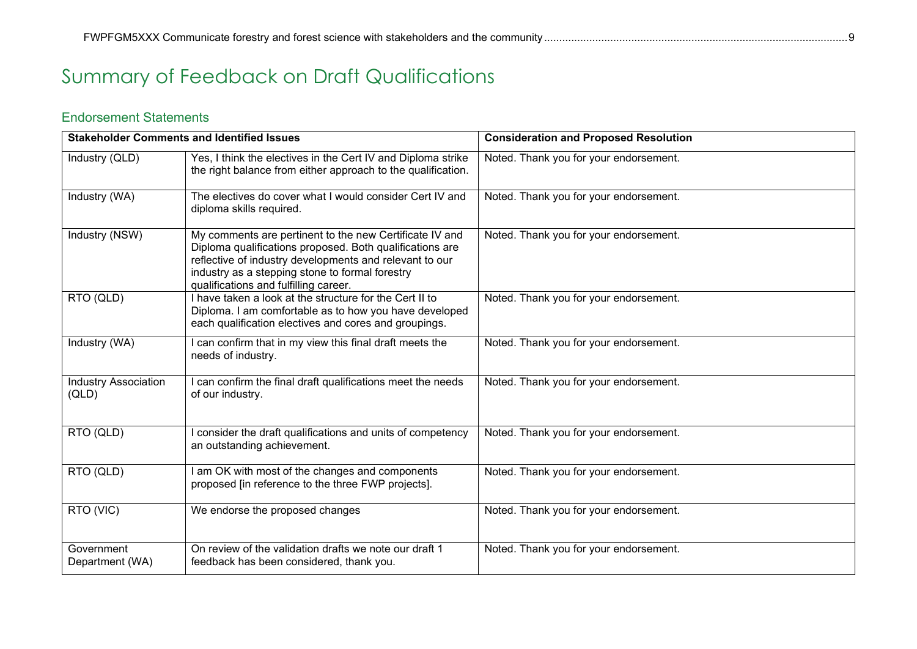# <span id="page-2-0"></span>Summary of Feedback on Draft Qualifications

### <span id="page-2-1"></span>Endorsement Statements

|                                      | <b>Stakeholder Comments and Identified Issues</b>                                                                                                                                                                                                                          | <b>Consideration and Proposed Resolution</b> |
|--------------------------------------|----------------------------------------------------------------------------------------------------------------------------------------------------------------------------------------------------------------------------------------------------------------------------|----------------------------------------------|
| Industry (QLD)                       | Yes, I think the electives in the Cert IV and Diploma strike<br>the right balance from either approach to the qualification.                                                                                                                                               | Noted. Thank you for your endorsement.       |
| Industry (WA)                        | The electives do cover what I would consider Cert IV and<br>diploma skills required.                                                                                                                                                                                       | Noted. Thank you for your endorsement.       |
| Industry (NSW)                       | My comments are pertinent to the new Certificate IV and<br>Diploma qualifications proposed. Both qualifications are<br>reflective of industry developments and relevant to our<br>industry as a stepping stone to formal forestry<br>qualifications and fulfilling career. | Noted. Thank you for your endorsement.       |
| RTO (QLD)                            | I have taken a look at the structure for the Cert II to<br>Diploma. I am comfortable as to how you have developed<br>each qualification electives and cores and groupings.                                                                                                 | Noted. Thank you for your endorsement.       |
| Industry (WA)                        | can confirm that in my view this final draft meets the<br>needs of industry.                                                                                                                                                                                               | Noted. Thank you for your endorsement.       |
| <b>Industry Association</b><br>(QLD) | can confirm the final draft qualifications meet the needs<br>of our industry.                                                                                                                                                                                              | Noted. Thank you for your endorsement.       |
| RTO (QLD)                            | consider the draft qualifications and units of competency<br>an outstanding achievement.                                                                                                                                                                                   | Noted. Thank you for your endorsement.       |
| RTO (QLD)                            | am OK with most of the changes and components<br>proposed [in reference to the three FWP projects].                                                                                                                                                                        | Noted. Thank you for your endorsement.       |
| RTO (VIC)                            | We endorse the proposed changes                                                                                                                                                                                                                                            | Noted. Thank you for your endorsement.       |
| Government<br>Department (WA)        | On review of the validation drafts we note our draft 1<br>feedback has been considered, thank you.                                                                                                                                                                         | Noted. Thank you for your endorsement.       |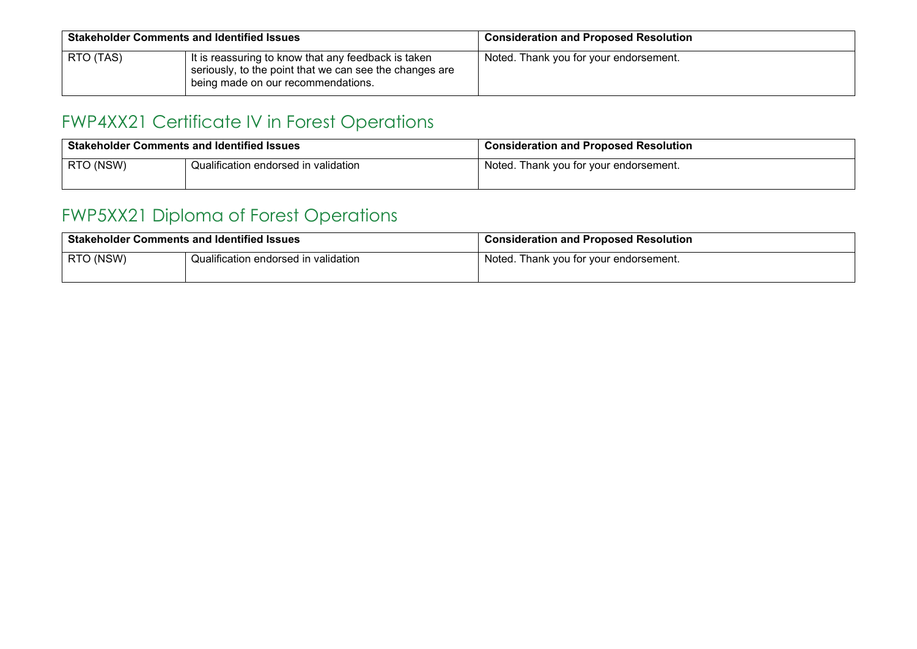|           | <b>Stakeholder Comments and Identified Issues</b>                                                                                                    | <b>Consideration and Proposed Resolution</b> |
|-----------|------------------------------------------------------------------------------------------------------------------------------------------------------|----------------------------------------------|
| RTO (TAS) | It is reassuring to know that any feedback is taken<br>seriously, to the point that we can see the changes are<br>being made on our recommendations. | Noted. Thank you for your endorsement.       |

### <span id="page-3-0"></span>FWP4XX21 Certificate IV in Forest Operations

| <b>Stakeholder Comments and Identified Issues</b> |                                      | <b>Consideration and Proposed Resolution</b> |
|---------------------------------------------------|--------------------------------------|----------------------------------------------|
| RTO (NSW)                                         | Qualification endorsed in validation | Noted. Thank you for your endorsement.       |

### <span id="page-3-1"></span>FWP5XX21 Diploma of Forest Operations

| <b>Stakeholder Comments and Identified Issues</b> |                                      | <b>Consideration and Proposed Resolution</b> |
|---------------------------------------------------|--------------------------------------|----------------------------------------------|
| RTO (NSW)                                         | Qualification endorsed in validation | l Noted. Thank you for your endorsement.     |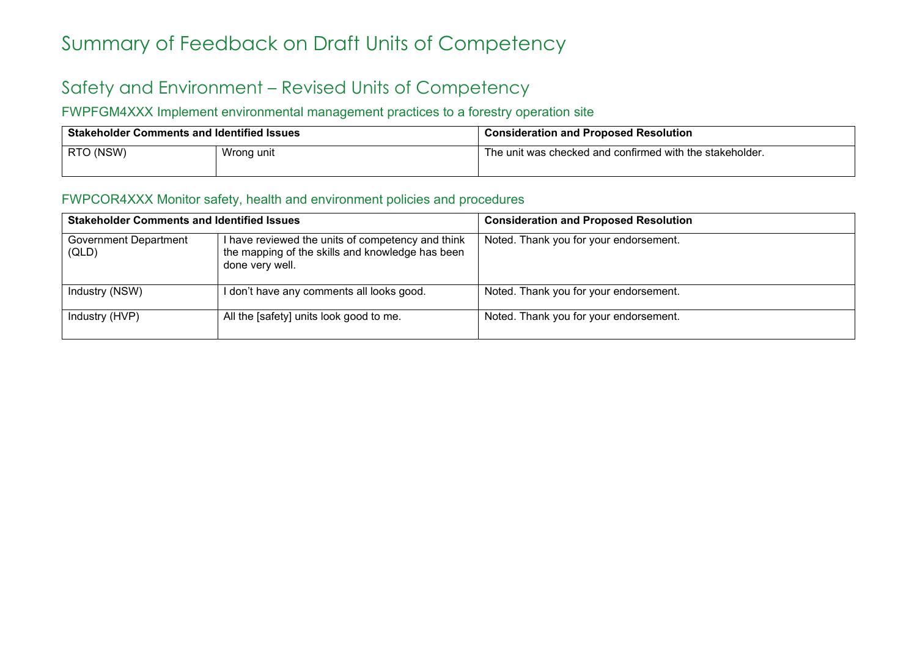# <span id="page-4-0"></span>Summary of Feedback on Draft Units of Competency

### <span id="page-4-1"></span>Safety and Environment – Revised Units of Competency

### <span id="page-4-2"></span>FWPFGM4XXX Implement environmental management practices to a forestry operation site

| <b>Stakeholder Comments and Identified Issues</b> |            | <b>Consideration and Proposed Resolution</b>             |
|---------------------------------------------------|------------|----------------------------------------------------------|
| RTO (NSW)                                         | Wrong unit | The unit was checked and confirmed with the stakeholder. |

### <span id="page-4-3"></span>FWPCOR4XXX Monitor safety, health and environment policies and procedures

| <b>Stakeholder Comments and Identified Issues</b> |                                                                                                                          | <b>Consideration and Proposed Resolution</b> |  |
|---------------------------------------------------|--------------------------------------------------------------------------------------------------------------------------|----------------------------------------------|--|
| <b>Government Department</b><br>(QLD)             | I have reviewed the units of competency and think<br>the mapping of the skills and knowledge has been<br>done very well. | Noted. Thank you for your endorsement.       |  |
| Industry (NSW)                                    | I don't have any comments all looks good.                                                                                | Noted. Thank you for your endorsement.       |  |
| Industry (HVP)                                    | All the [safety] units look good to me.                                                                                  | Noted. Thank you for your endorsement.       |  |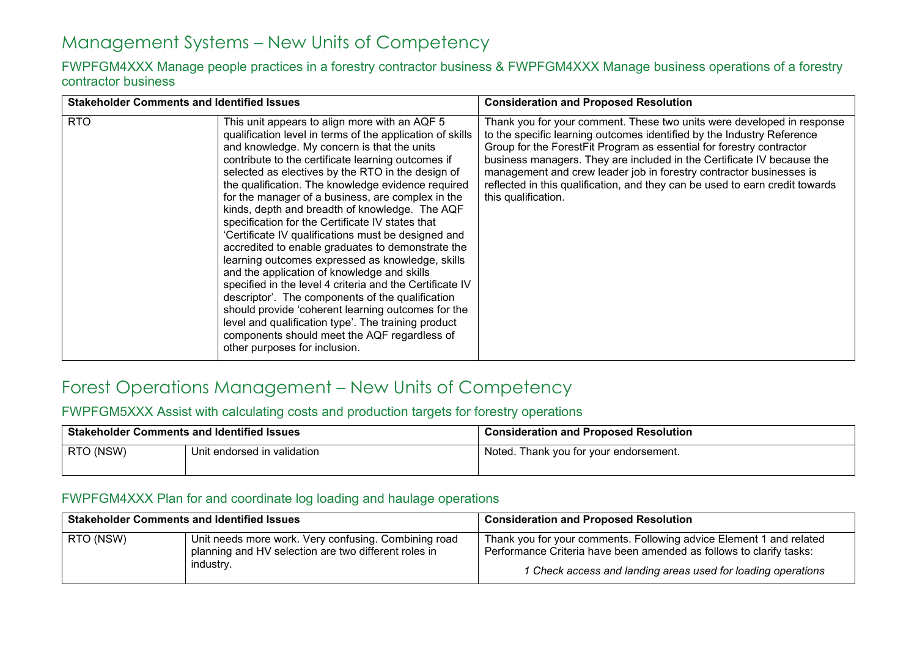### <span id="page-5-0"></span>Management Systems – New Units of Competency

<span id="page-5-1"></span>FWPFGM4XXX Manage people practices in a forestry contractor business & FWPFGM4XXX Manage business operations of a forestry contractor business

| <b>Stakeholder Comments and Identified Issues</b> |                                                                                                                                                                                                                                                                                                                                                                                                                                                                                                                                                                                                                                                                                                                                                                                                                                                                                                                                                                                                                    | <b>Consideration and Proposed Resolution</b>                                                                                                                                                                                                                                                                                                                                                                                                                                     |
|---------------------------------------------------|--------------------------------------------------------------------------------------------------------------------------------------------------------------------------------------------------------------------------------------------------------------------------------------------------------------------------------------------------------------------------------------------------------------------------------------------------------------------------------------------------------------------------------------------------------------------------------------------------------------------------------------------------------------------------------------------------------------------------------------------------------------------------------------------------------------------------------------------------------------------------------------------------------------------------------------------------------------------------------------------------------------------|----------------------------------------------------------------------------------------------------------------------------------------------------------------------------------------------------------------------------------------------------------------------------------------------------------------------------------------------------------------------------------------------------------------------------------------------------------------------------------|
| <b>RTO</b>                                        | This unit appears to align more with an AQF 5<br>qualification level in terms of the application of skills<br>and knowledge. My concern is that the units<br>contribute to the certificate learning outcomes if<br>selected as electives by the RTO in the design of<br>the qualification. The knowledge evidence required<br>for the manager of a business, are complex in the<br>kinds, depth and breadth of knowledge. The AQF<br>specification for the Certificate IV states that<br>'Certificate IV qualifications must be designed and<br>accredited to enable graduates to demonstrate the<br>learning outcomes expressed as knowledge, skills<br>and the application of knowledge and skills<br>specified in the level 4 criteria and the Certificate IV<br>descriptor'. The components of the qualification<br>should provide 'coherent learning outcomes for the<br>level and qualification type'. The training product<br>components should meet the AQF regardless of<br>other purposes for inclusion. | Thank you for your comment. These two units were developed in response<br>to the specific learning outcomes identified by the Industry Reference<br>Group for the ForestFit Program as essential for forestry contractor<br>business managers. They are included in the Certificate IV because the<br>management and crew leader job in forestry contractor businesses is<br>reflected in this qualification, and they can be used to earn credit towards<br>this qualification. |

### <span id="page-5-2"></span>Forest Operations Management – New Units of Competency

<span id="page-5-3"></span>FWPFGM5XXX Assist with calculating costs and production targets for forestry operations

| <b>Stakeholder Comments and Identified Issues</b> |                             | <b>Consideration and Proposed Resolution</b> |
|---------------------------------------------------|-----------------------------|----------------------------------------------|
| RTO (NSW)                                         | Unit endorsed in validation | Noted. Thank you for your endorsement.       |

#### <span id="page-5-4"></span>FWPFGM4XXX Plan for and coordinate log loading and haulage operations

|           | <b>Stakeholder Comments and Identified Issues</b>                                                                         | <b>Consideration and Proposed Resolution</b>                                                                                               |
|-----------|---------------------------------------------------------------------------------------------------------------------------|--------------------------------------------------------------------------------------------------------------------------------------------|
| RTO (NSW) | Unit needs more work. Very confusing. Combining road<br>planning and HV selection are two different roles in<br>industry. | Thank you for your comments. Following advice Element 1 and related<br>Performance Criteria have been amended as follows to clarify tasks: |
|           |                                                                                                                           | 1 Check access and landing areas used for loading operations                                                                               |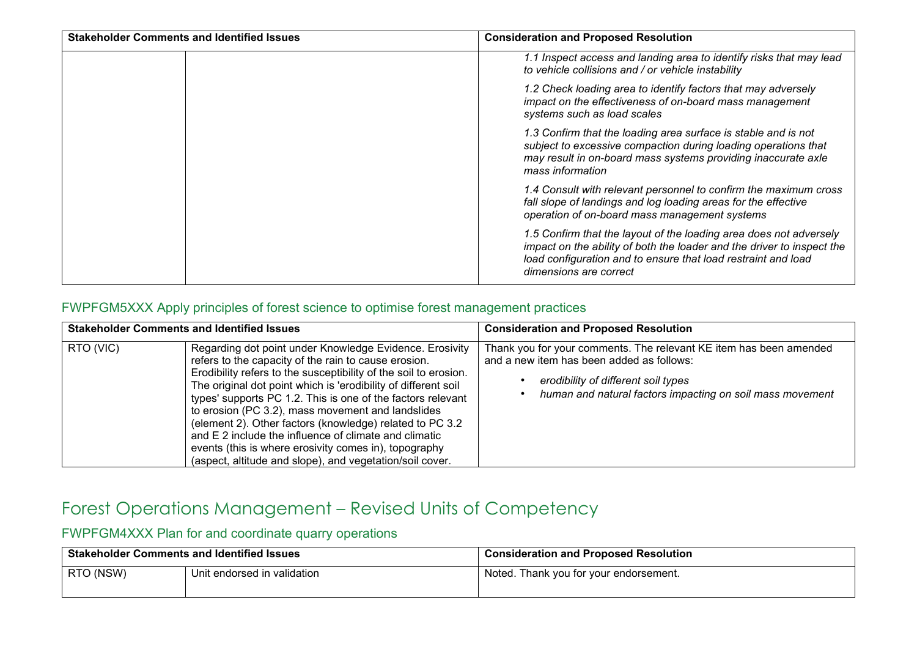| <b>Stakeholder Comments and Identified Issues</b> | <b>Consideration and Proposed Resolution</b>                                                                                                                                                                                            |  |
|---------------------------------------------------|-----------------------------------------------------------------------------------------------------------------------------------------------------------------------------------------------------------------------------------------|--|
|                                                   | 1.1 Inspect access and landing area to identify risks that may lead<br>to vehicle collisions and / or vehicle instability                                                                                                               |  |
|                                                   | 1.2 Check loading area to identify factors that may adversely<br>impact on the effectiveness of on-board mass management<br>systems such as load scales                                                                                 |  |
|                                                   | 1.3 Confirm that the loading area surface is stable and is not<br>subject to excessive compaction during loading operations that<br>may result in on-board mass systems providing inaccurate axle<br>mass information                   |  |
|                                                   | 1.4 Consult with relevant personnel to confirm the maximum cross<br>fall slope of landings and log loading areas for the effective<br>operation of on-board mass management systems                                                     |  |
|                                                   | 1.5 Confirm that the layout of the loading area does not adversely<br>impact on the ability of both the loader and the driver to inspect the<br>load configuration and to ensure that load restraint and load<br>dimensions are correct |  |

### <span id="page-6-0"></span>FWPFGM5XXX Apply principles of forest science to optimise forest management practices

| <b>Stakeholder Comments and Identified Issues</b> |                                                                                                                                                                                                                                                                                                                                                                                                                                                                                                                                                                                                                     | <b>Consideration and Proposed Resolution</b>                                                                                                                                                                        |
|---------------------------------------------------|---------------------------------------------------------------------------------------------------------------------------------------------------------------------------------------------------------------------------------------------------------------------------------------------------------------------------------------------------------------------------------------------------------------------------------------------------------------------------------------------------------------------------------------------------------------------------------------------------------------------|---------------------------------------------------------------------------------------------------------------------------------------------------------------------------------------------------------------------|
| RTO (VIC)                                         | Regarding dot point under Knowledge Evidence. Erosivity<br>refers to the capacity of the rain to cause erosion.<br>Erodibility refers to the susceptibility of the soil to erosion.<br>The original dot point which is 'erodibility of different soil<br>types' supports PC 1.2. This is one of the factors relevant<br>to erosion (PC 3.2), mass movement and landslides<br>(element 2). Other factors (knowledge) related to PC 3.2<br>and E 2 include the influence of climate and climatic<br>events (this is where erosivity comes in), topography<br>(aspect, altitude and slope), and vegetation/soil cover. | Thank you for your comments. The relevant KE item has been amended<br>and a new item has been added as follows:<br>erodibility of different soil types<br>human and natural factors impacting on soil mass movement |

### <span id="page-6-1"></span>Forest Operations Management – Revised Units of Competency

<span id="page-6-2"></span>FWPFGM4XXX Plan for and coordinate quarry operations

| <sup>1</sup> Stakeholder Comments and Identified Issues |                             | <b>Consideration and Proposed Resolution</b> |
|---------------------------------------------------------|-----------------------------|----------------------------------------------|
| RTO (NSW)                                               | Unit endorsed in validation | Noted. Thank you for your endorsement.       |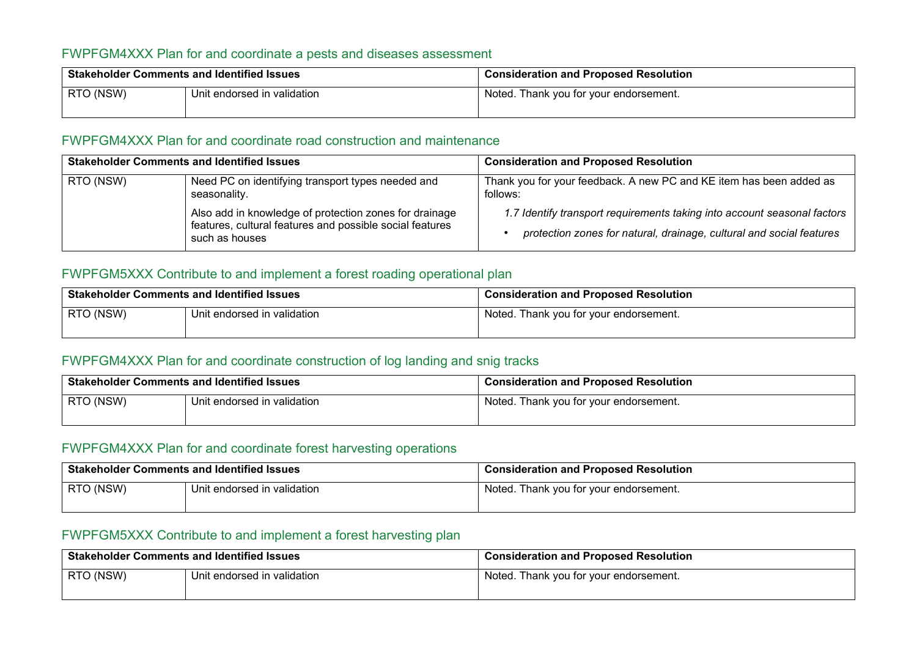### <span id="page-7-0"></span>FWPFGM4XXX Plan for and coordinate a pests and diseases assessment

| <b>Stakeholder Comments and Identified Issues</b> |                             | <b>Consideration and Proposed Resolution</b> |
|---------------------------------------------------|-----------------------------|----------------------------------------------|
| RTO (NSW)                                         | Unit endorsed in validation | Noted. Thank you for your endorsement.       |

### <span id="page-7-1"></span>FWPFGM4XXX Plan for and coordinate road construction and maintenance

|           | <b>Stakeholder Comments and Identified Issues</b>                                                                                    | <b>Consideration and Proposed Resolution</b>                                                                                                     |
|-----------|--------------------------------------------------------------------------------------------------------------------------------------|--------------------------------------------------------------------------------------------------------------------------------------------------|
| RTO (NSW) | Need PC on identifying transport types needed and<br>seasonality.                                                                    | Thank you for your feedback. A new PC and KE item has been added as<br>follows:                                                                  |
|           | Also add in knowledge of protection zones for drainage<br>features, cultural features and possible social features<br>such as houses | 1.7 Identify transport requirements taking into account seasonal factors<br>protection zones for natural, drainage, cultural and social features |

### <span id="page-7-2"></span>FWPFGM5XXX Contribute to and implement a forest roading operational plan

| <b>Stakeholder Comments and Identified Issues</b> |                             | <b>Consideration and Proposed Resolution</b> |
|---------------------------------------------------|-----------------------------|----------------------------------------------|
| RTO (NSW)                                         | Unit endorsed in validation | Noted. Thank you for your endorsement.       |

### <span id="page-7-3"></span>FWPFGM4XXX Plan for and coordinate construction of log landing and snig tracks

| <b>Stakeholder Comments and Identified Issues</b> |                             | <b>Consideration and Proposed Resolution</b> |
|---------------------------------------------------|-----------------------------|----------------------------------------------|
| RTO (NSW)                                         | Unit endorsed in validation | Noted. Thank you for your endorsement.       |

### <span id="page-7-4"></span>FWPFGM4XXX Plan for and coordinate forest harvesting operations

| <b>Stakeholder Comments and Identified Issues</b> |                             | <b>Consideration and Proposed Resolution</b> |
|---------------------------------------------------|-----------------------------|----------------------------------------------|
| RTO (NSW)                                         | Unit endorsed in validation | Noted. Thank you for your endorsement.       |

### <span id="page-7-5"></span>FWPFGM5XXX Contribute to and implement a forest harvesting plan

| <b>Stakeholder Comments and Identified Issues</b> |                             | <b>Consideration and Proposed Resolution</b> |
|---------------------------------------------------|-----------------------------|----------------------------------------------|
| RTO (NSW)                                         | Unit endorsed in validation | Noted. Thank you for your endorsement.       |